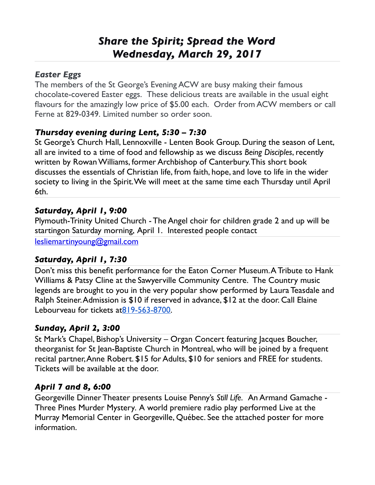# *Share the Spirit; Spread the Word Wednesday, March 29, 2017*

#### *Easter Eggs*

The members of the St George's Evening ACW are busy making their famous chocolate-covered Easter eggs. These delicious treats are available in the usual eight flavours for the amazingly low price of \$5.00 each. Order from ACW members or call Ferne at 829-0349. Limited number so order soon.

#### *Thursday evening during Lent, 5:30 – 7:30*

St George's Church Hall, Lennoxville - Lenten Book Group. During the season of Lent, all are invited to a time of food and fellowship as we discuss *Being Disciples*, recently written by Rowan Williams, former Archbishop of Canterbury. This short book discusses the essentials of Christian life, from faith, hope, and love to life in the wider society to living in the Spirit. We will meet at the same time each Thursday until April 6th.

#### *Saturday, April 1, 9:00*

Plymouth-Trinity United Church - The Angel choir for children grade 2 and up will be startingon Saturday morning, April 1. Interested people contact

[lesliemartinyoung@gmail.com](mailto:lesliemartinyoung@gmail.com)

## *Saturday, April 1, 7:30*

Don't miss this benefit performance for the Eaton Corner Museum. A Tribute to Hank Williams & Patsy Cline at the Sawyerville Community Centre. The Country music legends are brought to you in the very popular show performed by Laura Teasdale and Ralph Steiner. Admission is \$10 if reserved in advance, \$12 at the door. Call Elaine Lebourveau for tickets a[t819-563-8700.](tel:(819)%20563-8700)

#### *Sunday, April 2, 3:00*

St Mark's Chapel, Bishop's University – Organ Concert featuring Jacques Boucher, theorganist for St Jean-Baptiste Church in Montreal, who will be joined by a frequent recital partner, Anne Robert. \$15 for Adults, \$10 for seniors and FREE for students. Tickets will be available at the door.

## *April 7 and 8, 6:00*

Georgeville Dinner Theater presents Louise Penny's *Still Life.* An Armand Gamache - Three Pines Murder Mystery*.* A world premiere radio play performed Live at the Murray Memorial Center in Georgeville, Québec. See the attached poster for more information.